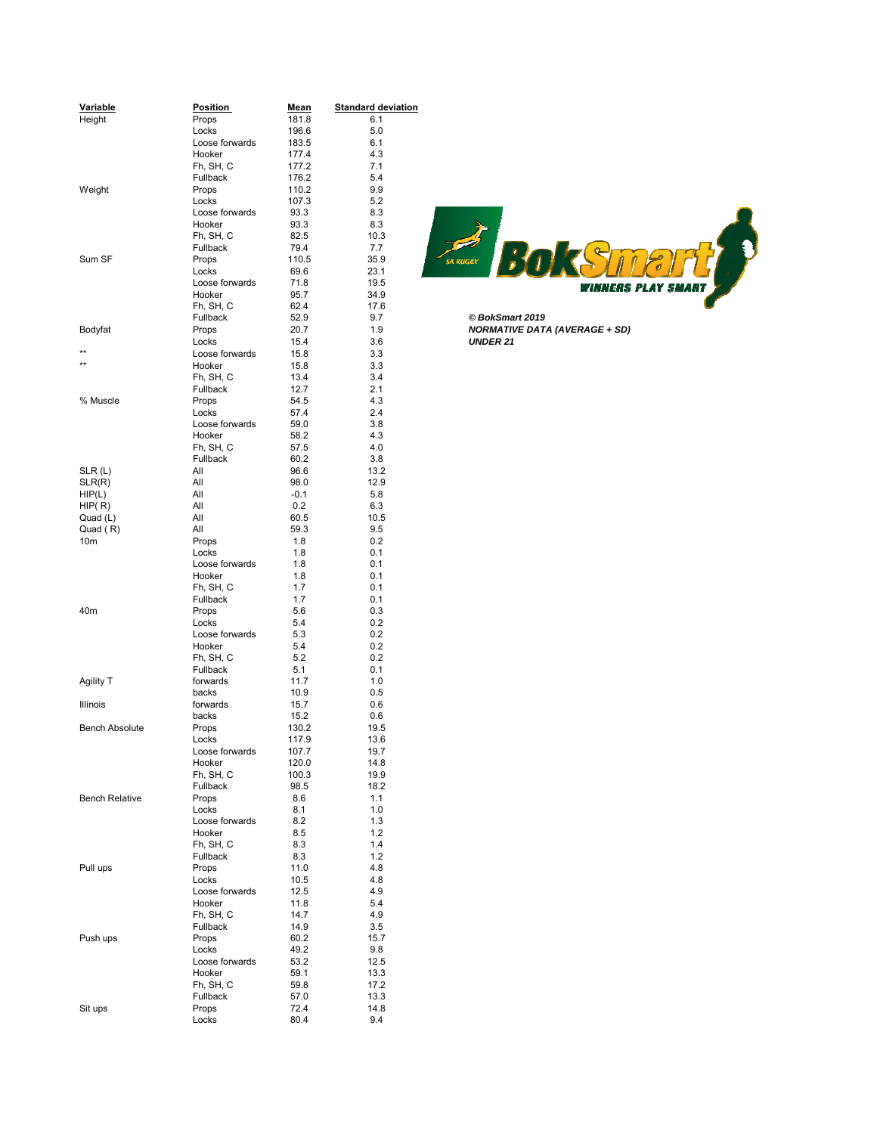| Variable<br>Height    | <b>Position</b><br>Props | <u>Mean</u><br>181.8 | <b>Standard deviation</b><br>6.1 |                                      |
|-----------------------|--------------------------|----------------------|----------------------------------|--------------------------------------|
|                       | Locks                    | 196.6                | 5.0                              |                                      |
|                       | Loose forwards           | 183.5                | 6.1                              |                                      |
|                       | Hooker                   | 177.4                | 4.3                              |                                      |
|                       | Fh, SH, C                | 177.2                | 7.1                              |                                      |
|                       | Fullback                 | 176.2                | 5.4                              |                                      |
| Weight                | Props                    | 110.2                | 9.9                              |                                      |
|                       | Locks                    | 107.3                | 5.2                              |                                      |
|                       | Loose forwards           | 93.3                 | 8.3                              |                                      |
|                       | Hooker                   | 93.3                 | 8.3                              |                                      |
|                       | Fh, SH, C                | 82.5                 | 10.3                             |                                      |
|                       | Fullback                 | 79.4                 | 7.7                              |                                      |
| Sum SF                | Props                    | 110.5                | 35.9                             | <u>sa Ruger</u>                      |
|                       | Locks                    | 69.6                 | 23.1                             |                                      |
|                       | Loose forwards           | 71.8                 | 19.5                             |                                      |
|                       | Hooker                   | 95.7                 | 34.9                             | <i>VINNERS</i>                       |
|                       | Fh, SH, C                | 62.4                 | 17.6                             |                                      |
|                       | Fullback                 | 52.9                 | 9.7                              | © BokSmart 2019                      |
| Bodyfat               | Props                    | 20.7                 | 1.9                              | <b>NORMATIVE DATA (AVERAGE + SD)</b> |
|                       | Locks                    | 15.4                 | 3.6                              | <b>UNDER 21</b>                      |
| $***$                 | Loose forwards           | 15.8                 | 3.3                              |                                      |
| $\star\star$          | Hooker                   | 15.8                 | 3.3                              |                                      |
|                       | Fh, SH, C                | 13.4                 | 3.4                              |                                      |
|                       | Fullback                 | 12.7                 | 2.1                              |                                      |
| % Muscle              | Props                    | 54.5                 | 4.3                              |                                      |
|                       | Locks                    | 57.4                 | 2.4                              |                                      |
|                       | Loose forwards           | 59.0                 | 3.8                              |                                      |
|                       | Hooker                   | 58.2                 | 4.3                              |                                      |
|                       | Fh, SH, C                | 57.5                 | 4.0                              |                                      |
|                       | Fullback                 | 60.2                 | 3.8                              |                                      |
| SLR(L)                | All                      | 96.6                 | 13.2                             |                                      |
| SLR(R)                | All                      | 98.0                 | 12.9                             |                                      |
| HIP(L)                | All                      | $-0.1$               | 5.8                              |                                      |
| HIP(R)                | All                      | 0.2                  | 6.3                              |                                      |
| Quad (L)              | All                      | 60.5                 | 10.5                             |                                      |
| Quad (R)              | All                      | 59.3                 | 9.5                              |                                      |
| 10m                   | Props                    | 1.8                  | 0.2                              |                                      |
|                       | Locks                    | 1.8                  | 0.1                              |                                      |
|                       | Loose forwards           | 1.8                  | 0.1                              |                                      |
|                       | Hooker                   | 1.8                  | 0.1                              |                                      |
|                       | Fh, SH, C                | 1.7                  | 0.1                              |                                      |
|                       | Fullback                 | 1.7                  | 0.1                              |                                      |
| 40m                   | Props                    | 5.6                  | 0.3                              |                                      |
|                       | Locks                    | 5.4                  | 0.2                              |                                      |
|                       | Loose forwards           | 5.3                  | 0.2                              |                                      |
|                       | Hooker                   | 5.4                  | 0.2                              |                                      |
|                       | Fh, SH, C                | 5.2                  | 0.2                              |                                      |
|                       | Fullback                 | 5.1                  | 0.1                              |                                      |
| Agility T             | forwards                 | 11.7                 | 1.0                              |                                      |
|                       | backs                    | 10.9                 | 0.5                              |                                      |
| Illinois              | forwards                 | 15.7                 | 0.6                              |                                      |
|                       | backs                    | 15.2                 | 0.6                              |                                      |
| <b>Bench Absolute</b> | Props                    | 130.2                | 19.5                             |                                      |
|                       | Locks                    | 117.9                | 13.6                             |                                      |
|                       | Loose forwards           | 107.7                | 19.7                             |                                      |
|                       | Hooker                   | 120.0                | 14.8                             |                                      |
|                       | Fh, SH, C                | 100.3                | 19.9                             |                                      |
|                       | Fullback                 | 98.5                 | 18.2                             |                                      |
| <b>Bench Relative</b> | Props                    | 8.6                  | 1.1                              |                                      |
|                       | Locks                    | 8.1                  | 1.0                              |                                      |
|                       | Loose forwards           | 8.2                  | 1.3                              |                                      |
|                       | Hooker                   | 8.5                  | $1.2$                            |                                      |
|                       | Fh, SH, C                | 8.3                  | 1.4                              |                                      |
|                       | Fullback                 | 8.3                  | 1.2                              |                                      |
| Pull ups              | Props                    | 11.0                 | 4.8                              |                                      |
|                       | Locks                    | 10.5                 | 4.8                              |                                      |
|                       | Loose forwards           | 12.5                 | 4.9                              |                                      |
|                       | Hooker                   | 11.8                 | 5.4                              |                                      |
|                       | Fh, SH, C                | 14.7                 | 4.9                              |                                      |
|                       | Fullback                 | 14.9                 | 3.5                              |                                      |
| Push ups              | Props                    | 60.2                 | 15.7                             |                                      |
|                       | Locks                    | 49.2                 | 9.8                              |                                      |
|                       | Loose forwards           | 53.2                 | 12.5                             |                                      |
|                       | Hooker                   | 59.1                 | 13.3                             |                                      |
|                       | Fh, SH, C                | 59.8                 | 17.2                             |                                      |
|                       | Fullback                 | 57.0                 | 13.3                             |                                      |
| Sit ups               | Props                    | 72.4                 | 14.8                             |                                      |
|                       | Locks                    | 80.4                 | 9.4                              |                                      |